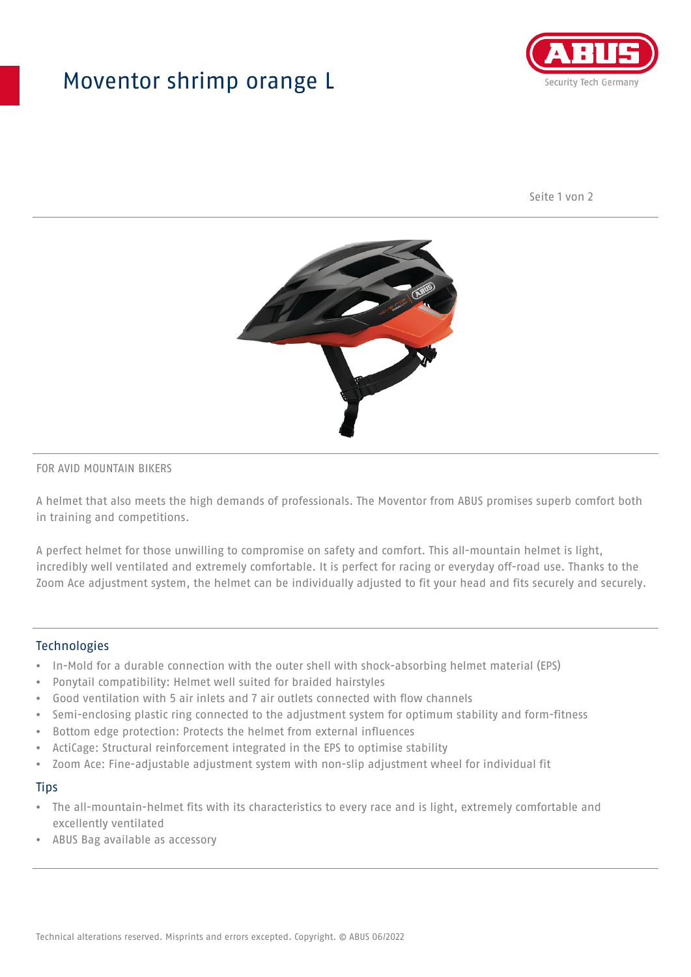## Moventor shrimp orange L



Seite 1 von 2



#### FOR AVID MOUNTAIN BIKERS

A helmet that also meets the high demands of professionals. The Moventor from ABUS promises superb comfort both in training and competitions.

A perfect helmet for those unwilling to compromise on safety and comfort. This all-mountain helmet is light, incredibly well ventilated and extremely comfortable. It is perfect for racing or everyday off-road use. Thanks to the Zoom Ace adjustment system, the helmet can be individually adjusted to fit your head and fits securely and securely.

#### **Technologies**

- In-Mold for a durable connection with the outer shell with shock-absorbing helmet material (EPS)
- Ponytail compatibility: Helmet well suited for braided hairstyles
- Good ventilation with 5 air inlets and 7 air outlets connected with flow channels
- Semi-enclosing plastic ring connected to the adjustment system for optimum stability and form-fitness
- Bottom edge protection: Protects the helmet from external influences
- ActiCage: Structural reinforcement integrated in the EPS to optimise stability
- Zoom Ace: Fine-adjustable adjustment system with non-slip adjustment wheel for individual fit

#### **Tips**

- The all-mountain-helmet fits with its characteristics to every race and is light, extremely comfortable and excellently ventilated
- ABUS Bag available as accessory